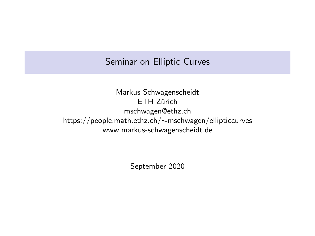# Seminar on Elliptic Curves

Markus Schwagenscheidt ETH 7ürich mschwagen@ethz.ch https://people.math.ethz.ch/∼mschwagen/ellipticcurves www.markus-schwagenscheidt.de

September 2020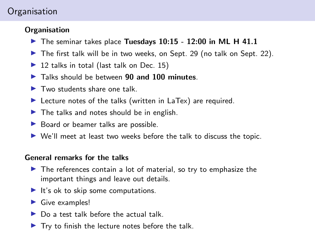# **Organisation**

### **Organisation**

- $\blacktriangleright$  The seminar takes place Tuesdays 10:15 12:00 in ML H 41.1
- $\blacktriangleright$  The first talk will be in two weeks, on Sept. 29 (no talk on Sept. 22).
- $\triangleright$  12 talks in total (last talk on Dec. 15)
- $\blacktriangleright$  Talks should be between 90 and 100 minutes.
- $\blacktriangleright$  Two students share one talk.
- $\blacktriangleright$  Lecture notes of the talks (written in LaTex) are required.
- $\blacktriangleright$  The talks and notes should be in english.
- $\blacktriangleright$  Board or beamer talks are possible.
- $\triangleright$  We'll meet at least two weeks before the talk to discuss the topic.

#### General remarks for the talks

- $\blacktriangleright$  The references contain a lot of material, so try to emphasize the important things and leave out details.
- $\blacktriangleright$  It's ok to skip some computations.
- $\blacktriangleright$  Give examples!
- $\triangleright$  Do a test talk before the actual talk.
- $\blacktriangleright$  Try to finish the lecture notes before the talk.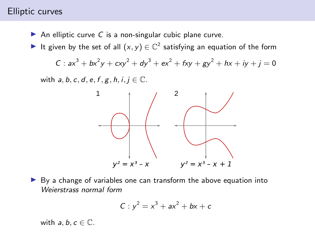### Elliptic curves

- An elliptic curve C is a non-singular cubic plane curve.
- It given by the set of all  $(x, y) \in \mathbb{C}^2$  satisfying an equation of the form

$$
C: ax3 + bx2y + cxy2 + dy3 + ex2 + fxy + gy2 + hx + iy + j = 0
$$

with  $a, b, c, d, e, f, g, h, i, j \in \mathbb{C}$ .



 $\blacktriangleright$  By a change of variables one can transform the above equation into Weierstrass normal form

$$
C: y^2 = x^3 + ax^2 + bx + c
$$

with  $a, b, c \in \mathbb{C}$ .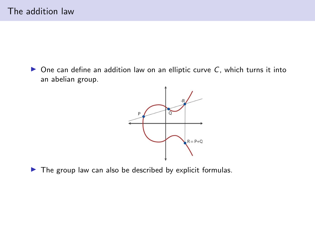$\triangleright$  One can define an addition law on an elliptic curve C, which turns it into an abelian group.



 $\blacktriangleright$  The group law can also be described by explicit formulas.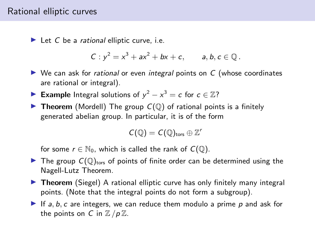### Rational elliptic curves

 $\blacktriangleright$  Let C be a rational elliptic curve, i.e.

$$
C: y^2 = x^3 + ax^2 + bx + c
$$
, *a, b, c \in \mathbb{Q}*.

- $\triangleright$  We can ask for *rational* or even *integral* points on C (whose coordinates are rational or integral).
- ► Example Integral solutions of  $y^2 x^3 = c$  for  $c \in \mathbb{Z}$ ?
- **Theorem** (Mordell) The group  $C(\mathbb{Q})$  of rational points is a finitely generated abelian group. In particular, it is of the form

$$
C(\mathbb{Q})=C(\mathbb{Q})_{\text{tors}}\oplus \mathbb{Z}^r
$$

for some  $r \in \mathbb{N}_0$ , which is called the rank of  $C(\mathbb{Q})$ .

- $\blacktriangleright$  The group  $C(\mathbb{Q})_{\text{tors}}$  of points of finite order can be determined using the Nagell-Lutz Theorem.
- $\triangleright$  Theorem (Siegel) A rational elliptic curve has only finitely many integral points. (Note that the integral points do not form a subgroup).
- If a, b, c are integers, we can reduce them modulo a prime  $p$  and ask for the points on C in  $\mathbb{Z}/p\mathbb{Z}$ .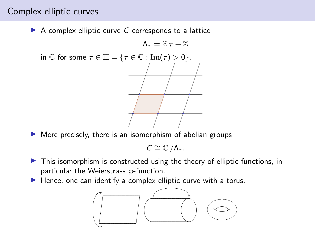## Complex elliptic curves

 $\triangleright$  A complex elliptic curve C corresponds to a lattice



 $\triangleright$  More precisely, there is an isomorphism of abelian groups

 $C \cong \mathbb{C}/\Lambda_{\tau}$ .

- $\triangleright$  This isomorphism is constructed using the theory of elliptic functions, in particular the Weierstrass  $\wp$ -function.
- $\blacktriangleright$  Hence, one can identify a complex elliptic curve with a torus.

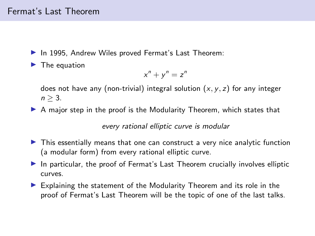## Fermat's Last Theorem

- $\blacktriangleright$  In 1995. Andrew Wiles proved Fermat's Last Theorem:
- $\blacktriangleright$  The equation

$$
x^n + y^n = z^n
$$

does not have any (non-trivial) integral solution  $(x, y, z)$  for any integer  $n > 3$ .

 $\triangleright$  A major step in the proof is the Modularity Theorem, which states that

every rational elliptic curve is modular

- $\blacktriangleright$  This essentially means that one can construct a very nice analytic function (a modular form) from every rational elliptic curve.
- In particular, the proof of Fermat's Last Theorem crucially involves elliptic curves.
- $\blacktriangleright$  Explaining the statement of the Modularity Theorem and its role in the proof of Fermat's Last Theorem will be the topic of one of the last talks.